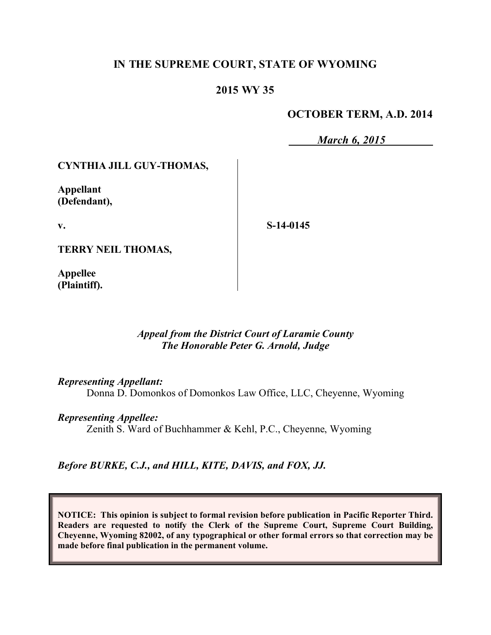# **IN THE SUPREME COURT, STATE OF WYOMING**

## **2015 WY 35**

### **OCTOBER TERM, A.D. 2014**

*March 6, 2015*

#### **CYNTHIA JILL GUY-THOMAS,**

**Appellant (Defendant),**

**v.**

**S-14-0145**

**TERRY NEIL THOMAS,**

**Appellee (Plaintiff).**

#### *Appeal from the District Court of Laramie County The Honorable Peter G. Arnold, Judge*

*Representing Appellant:*

Donna D. Domonkos of Domonkos Law Office, LLC, Cheyenne, Wyoming

*Representing Appellee:*

Zenith S. Ward of Buchhammer & Kehl, P.C., Cheyenne, Wyoming

*Before BURKE, C.J., and HILL, KITE, DAVIS, and FOX, JJ.*

**NOTICE: This opinion is subject to formal revision before publication in Pacific Reporter Third. Readers are requested to notify the Clerk of the Supreme Court, Supreme Court Building, Cheyenne, Wyoming 82002, of any typographical or other formal errors so that correction may be made before final publication in the permanent volume.**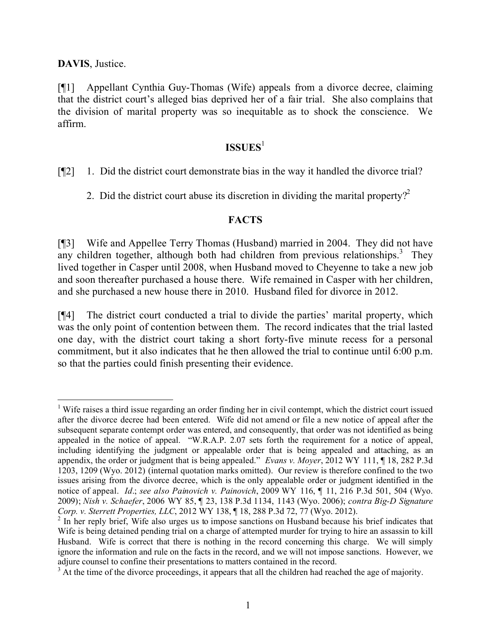**DAVIS**, Justice.

[¶1] Appellant Cynthia Guy-Thomas (Wife) appeals from a divorce decree, claiming that the district court's alleged bias deprived her of a fair trial. She also complains that the division of marital property was so inequitable as to shock the conscience. We affirm.

# **ISSUES**<sup>1</sup>

[¶2] 1. Did the district court demonstrate bias in the way it handled the divorce trial?

2. Did the district court abuse its discretion in dividing the marital property?<sup>2</sup>

# **FACTS**

[¶3] Wife and Appellee Terry Thomas (Husband) married in 2004. They did not have any children together, although both had children from previous relationships.<sup>3</sup> They lived together in Casper until 2008, when Husband moved to Cheyenne to take a new job and soon thereafter purchased a house there. Wife remained in Casper with her children, and she purchased a new house there in 2010. Husband filed for divorce in 2012.

[¶4] The district court conducted a trial to divide the parties' marital property, which was the only point of contention between them. The record indicates that the trial lasted one day, with the district court taking a short forty-five minute recess for a personal commitment, but it also indicates that he then allowed the trial to continue until 6:00 p.m. so that the parties could finish presenting their evidence.

 $\overline{a}$ <sup>1</sup> Wife raises a third issue regarding an order finding her in civil contempt, which the district court issued after the divorce decree had been entered. Wife did not amend or file a new notice of appeal after the subsequent separate contempt order was entered, and consequently, that order was not identified as being appealed in the notice of appeal. "W.R.A.P. 2.07 sets forth the requirement for a notice of appeal, including identifying the judgment or appealable order that is being appealed and attaching, as an appendix, the order or judgment that is being appealed." *Evans v. Moyer*, 2012 WY 111, ¶ 18, 282 P.3d 1203, 1209 (Wyo. 2012) (internal quotation marks omitted). Our review is therefore confined to the two issues arising from the divorce decree, which is the only appealable order or judgment identified in the notice of appeal. *Id*.; *see also Painovich v. Painovich*, 2009 WY 116, ¶ 11, 216 P.3d 501, 504 (Wyo. 2009); *Nish v. Schaefer*, 2006 WY 85, ¶ 23, 138 P.3d 1134, 1143 (Wyo. 2006); *contra Big-D Signature Corp. v. Sterrett Properties, LLC*, 2012 WY 138, ¶ 18, 288 P.3d 72, 77 (Wyo. 2012).

<sup>&</sup>lt;sup>2</sup> In her reply brief, Wife also urges us to impose sanctions on Husband because his brief indicates that Wife is being detained pending trial on a charge of attempted murder for trying to hire an assassin to kill Husband. Wife is correct that there is nothing in the record concerning this charge. We will simply ignore the information and rule on the facts in the record, and we will not impose sanctions. However, we adjure counsel to confine their presentations to matters contained in the record.

 $3$  At the time of the divorce proceedings, it appears that all the children had reached the age of majority.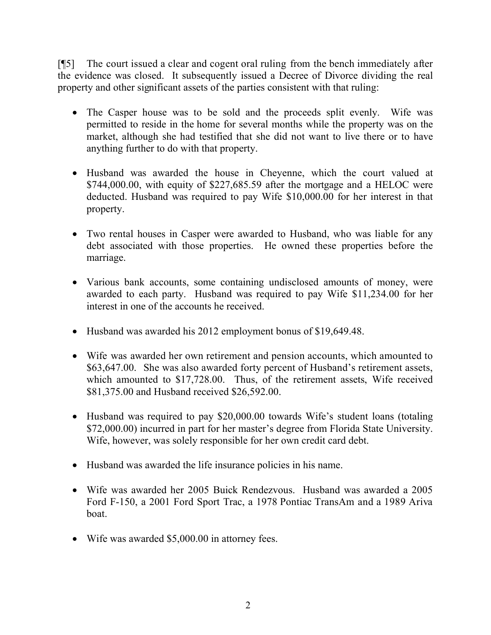[¶5] The court issued a clear and cogent oral ruling from the bench immediately after the evidence was closed. It subsequently issued a Decree of Divorce dividing the real property and other significant assets of the parties consistent with that ruling:

- The Casper house was to be sold and the proceeds split evenly. Wife was permitted to reside in the home for several months while the property was on the market, although she had testified that she did not want to live there or to have anything further to do with that property.
- Husband was awarded the house in Cheyenne, which the court valued at \$744,000.00, with equity of \$227,685.59 after the mortgage and a HELOC were deducted. Husband was required to pay Wife \$10,000.00 for her interest in that property.
- Two rental houses in Casper were awarded to Husband, who was liable for any debt associated with those properties. He owned these properties before the marriage.
- Various bank accounts, some containing undisclosed amounts of money, were awarded to each party. Husband was required to pay Wife \$11,234.00 for her interest in one of the accounts he received.
- Husband was awarded his 2012 employment bonus of \$19,649.48.
- Wife was awarded her own retirement and pension accounts, which amounted to \$63,647.00. She was also awarded forty percent of Husband's retirement assets, which amounted to \$17,728.00. Thus, of the retirement assets, Wife received \$81,375.00 and Husband received \$26,592.00.
- Husband was required to pay \$20,000.00 towards Wife's student loans (totaling \$72,000.00) incurred in part for her master's degree from Florida State University. Wife, however, was solely responsible for her own credit card debt.
- Husband was awarded the life insurance policies in his name.
- Wife was awarded her 2005 Buick Rendezvous. Husband was awarded a 2005 Ford F-150, a 2001 Ford Sport Trac, a 1978 Pontiac TransAm and a 1989 Ariva boat.
- Wife was awarded \$5,000.00 in attorney fees.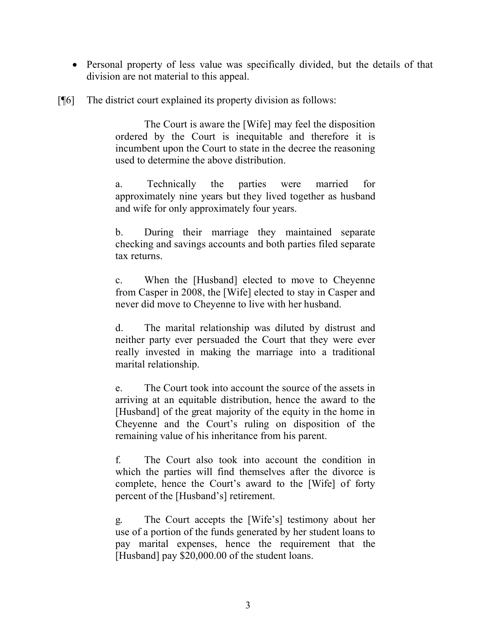- Personal property of less value was specifically divided, but the details of that division are not material to this appeal.
- [¶6] The district court explained its property division as follows:

The Court is aware the [Wife] may feel the disposition ordered by the Court is inequitable and therefore it is incumbent upon the Court to state in the decree the reasoning used to determine the above distribution.

a. Technically the parties were married for approximately nine years but they lived together as husband and wife for only approximately four years.

b. During their marriage they maintained separate checking and savings accounts and both parties filed separate tax returns.

c. When the [Husband] elected to move to Cheyenne from Casper in 2008, the [Wife] elected to stay in Casper and never did move to Cheyenne to live with her husband.

d. The marital relationship was diluted by distrust and neither party ever persuaded the Court that they were ever really invested in making the marriage into a traditional marital relationship.

e. The Court took into account the source of the assets in arriving at an equitable distribution, hence the award to the [Husband] of the great majority of the equity in the home in Cheyenne and the Court's ruling on disposition of the remaining value of his inheritance from his parent.

f. The Court also took into account the condition in which the parties will find themselves after the divorce is complete, hence the Court's award to the [Wife] of forty percent of the [Husband's] retirement.

g. The Court accepts the [Wife's] testimony about her use of a portion of the funds generated by her student loans to pay marital expenses, hence the requirement that the [Husband] pay \$20,000.00 of the student loans.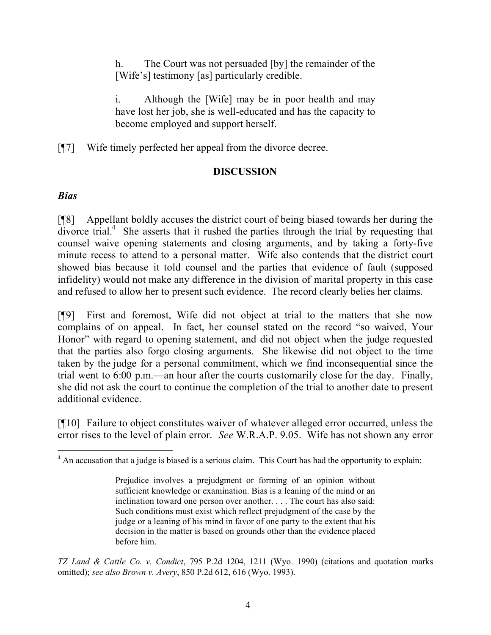h. The Court was not persuaded [by] the remainder of the [Wife's] testimony [as] particularly credible.

Although the [Wife] may be in poor health and may have lost her job, she is well-educated and has the capacity to become employed and support herself.

[¶7] Wife timely perfected her appeal from the divorce decree.

# **DISCUSSION**

# *Bias*

 $\overline{a}$ 

[¶8] Appellant boldly accuses the district court of being biased towards her during the divorce trial.<sup>4</sup> She asserts that it rushed the parties through the trial by requesting that counsel waive opening statements and closing arguments, and by taking a forty-five minute recess to attend to a personal matter. Wife also contends that the district court showed bias because it told counsel and the parties that evidence of fault (supposed infidelity) would not make any difference in the division of marital property in this case and refused to allow her to present such evidence. The record clearly belies her claims.

[¶9] First and foremost, Wife did not object at trial to the matters that she now complains of on appeal. In fact, her counsel stated on the record "so waived, Your Honor" with regard to opening statement, and did not object when the judge requested that the parties also forgo closing arguments. She likewise did not object to the time taken by the judge for a personal commitment, which we find inconsequential since the trial went to 6:00 p.m.—an hour after the courts customarily close for the day. Finally, she did not ask the court to continue the completion of the trial to another date to present additional evidence.

[¶10] Failure to object constitutes waiver of whatever alleged error occurred, unless the error rises to the level of plain error. *See* W.R.A.P. 9.05. Wife has not shown any error

*TZ Land & Cattle Co. v. Condict*, 795 P.2d 1204, 1211 (Wyo. 1990) (citations and quotation marks omitted); *see also Brown v. Avery*, 850 P.2d 612, 616 (Wyo. 1993).

 $4$  An accusation that a judge is biased is a serious claim. This Court has had the opportunity to explain:

Prejudice involves a prejudgment or forming of an opinion without sufficient knowledge or examination. Bias is a leaning of the mind or an inclination toward one person over another. . . . The court has also said: Such conditions must exist which reflect prejudgment of the case by the judge or a leaning of his mind in favor of one party to the extent that his decision in the matter is based on grounds other than the evidence placed before him.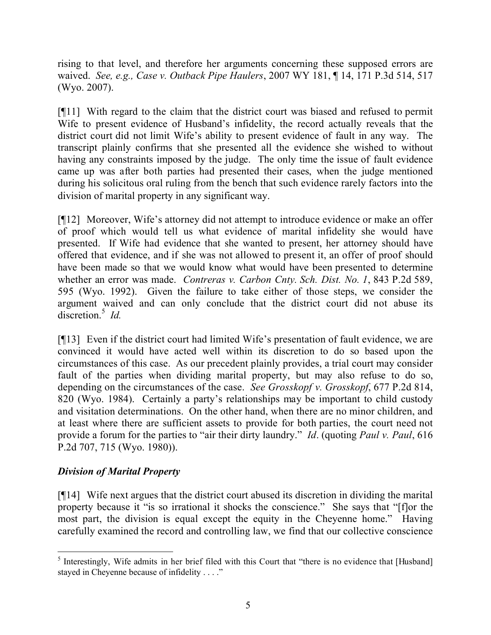rising to that level, and therefore her arguments concerning these supposed errors are waived. *See, e.g., Case v. Outback Pipe Haulers*, 2007 WY 181, ¶ 14, 171 P.3d 514, 517 (Wyo. 2007).

[¶11] With regard to the claim that the district court was biased and refused to permit Wife to present evidence of Husband's infidelity, the record actually reveals that the district court did not limit Wife's ability to present evidence of fault in any way. The transcript plainly confirms that she presented all the evidence she wished to without having any constraints imposed by the judge. The only time the issue of fault evidence came up was after both parties had presented their cases, when the judge mentioned during his solicitous oral ruling from the bench that such evidence rarely factors into the division of marital property in any significant way.

[¶12] Moreover, Wife's attorney did not attempt to introduce evidence or make an offer of proof which would tell us what evidence of marital infidelity she would have presented. If Wife had evidence that she wanted to present, her attorney should have offered that evidence, and if she was not allowed to present it, an offer of proof should have been made so that we would know what would have been presented to determine whether an error was made. *Contreras v. Carbon Cnty. Sch. Dist. No. 1*, 843 P.2d 589, 595 (Wyo. 1992). Given the failure to take either of those steps, we consider the argument waived and can only conclude that the district court did not abuse its discretion.<sup>5</sup> *Id.* 

[¶13] Even if the district court had limited Wife's presentation of fault evidence, we are convinced it would have acted well within its discretion to do so based upon the circumstances of this case. As our precedent plainly provides, a trial court may consider fault of the parties when dividing marital property, but may also refuse to do so, depending on the circumstances of the case. *See Grosskopf v. Grosskopf*, 677 P.2d 814, 820 (Wyo. 1984). Certainly a party's relationships may be important to child custody and visitation determinations. On the other hand, when there are no minor children, and at least where there are sufficient assets to provide for both parties, the court need not provide a forum for the parties to "air their dirty laundry." *Id*. (quoting *Paul v. Paul*, 616 P.2d 707, 715 (Wyo. 1980)).

### *Division of Marital Property*

[¶14] Wife next argues that the district court abused its discretion in dividing the marital property because it "is so irrational it shocks the conscience." She says that "[f]or the most part, the division is equal except the equity in the Cheyenne home." Having carefully examined the record and controlling law, we find that our collective conscience

<sup>&</sup>lt;sup>5</sup> Interestingly, Wife admits in her brief filed with this Court that "there is no evidence that [Husband] stayed in Cheyenne because of infidelity . . . ."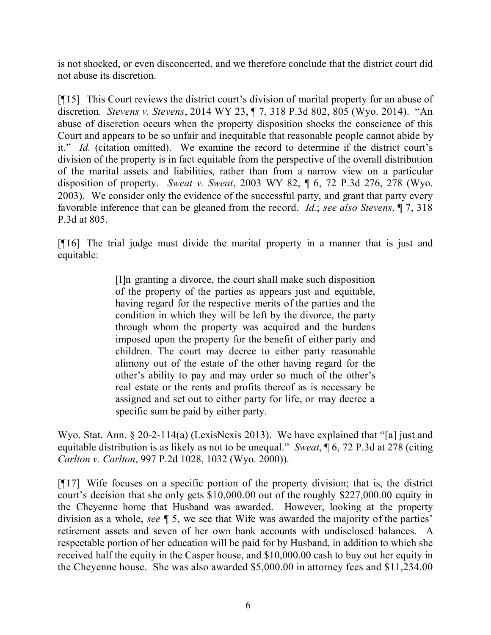is not shocked, or even disconcerted, and we therefore conclude that the district court did not abuse its discretion.

[¶15] This Court reviews the district court's division of marital property for an abuse of discretion*. Stevens v. Stevens*, 2014 WY 23, ¶ 7, 318 P.3d 802, 805 (Wyo. 2014). "An abuse of discretion occurs when the property disposition shocks the conscience of this Court and appears to be so unfair and inequitable that reasonable people cannot abide by it." *Id.* (citation omitted). We examine the record to determine if the district court's division of the property is in fact equitable from the perspective of the overall distribution of the marital assets and liabilities, rather than from a narrow view on a particular disposition of property. *Sweat v. Sweat*, 2003 WY 82, ¶ 6, 72 P.3d 276, 278 (Wyo. 2003). We consider only the evidence of the successful party, and grant that party every favorable inference that can be gleaned from the record. *Id.*; *see also Stevens*, ¶ 7, 318 P.3d at 805.

[¶16] The trial judge must divide the marital property in a manner that is just and equitable:

> [I]n granting a divorce, the court shall make such disposition of the property of the parties as appears just and equitable, having regard for the respective merits of the parties and the condition in which they will be left by the divorce, the party through whom the property was acquired and the burdens imposed upon the property for the benefit of either party and children. The court may decree to either party reasonable alimony out of the estate of the other having regard for the other's ability to pay and may order so much of the other's real estate or the rents and profits thereof as is necessary be assigned and set out to either party for life, or may decree a specific sum be paid by either party.

Wyo. Stat. Ann. § 20-2-114(a) (LexisNexis 2013). We have explained that "[a] just and equitable distribution is as likely as not to be unequal." *Sweat*, ¶ 6, 72 P.3d at 278 (citing *Carlton v. Carlton*, 997 P.2d 1028, 1032 (Wyo. 2000)).

[¶17] Wife focuses on a specific portion of the property division; that is, the district court's decision that she only gets \$10,000.00 out of the roughly \$227,000.00 equity in the Cheyenne home that Husband was awarded. However, looking at the property division as a whole, *see* ¶ 5, we see that Wife was awarded the majority of the parties' retirement assets and seven of her own bank accounts with undisclosed balances. A respectable portion of her education will be paid for by Husband, in addition to which she received half the equity in the Casper house, and \$10,000.00 cash to buy out her equity in the Cheyenne house. She was also awarded \$5,000.00 in attorney fees and \$11,234.00